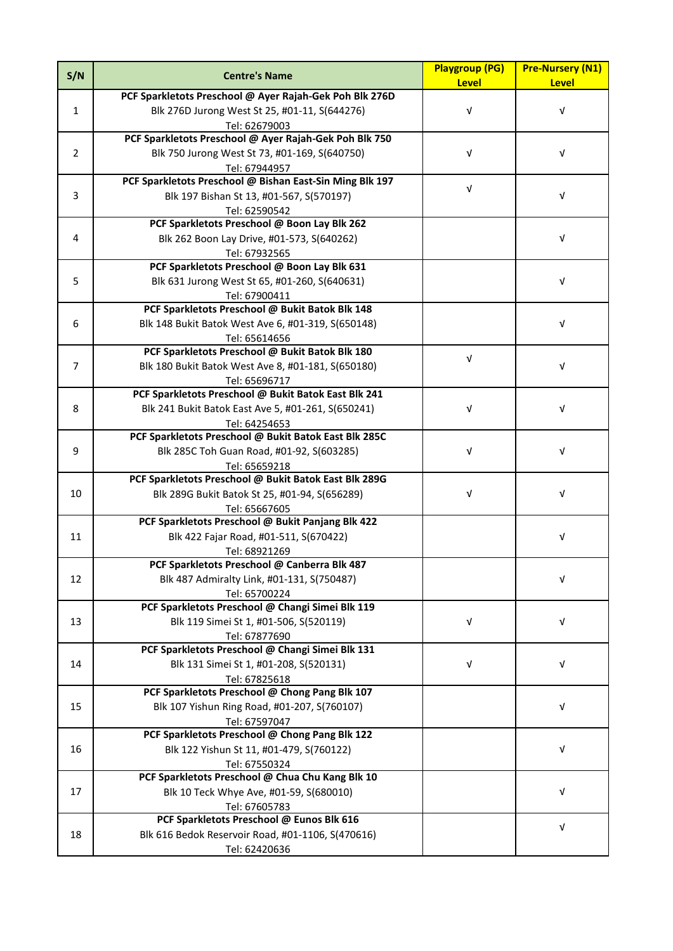| S/N            | <b>Centre's Name</b>                                             | <b>Playgroup (PG)</b> | <b>Pre-Nursery (N1)</b> |
|----------------|------------------------------------------------------------------|-----------------------|-------------------------|
|                |                                                                  | Level                 | <b>Level</b>            |
|                | PCF Sparkletots Preschool @ Ayer Rajah-Gek Poh Blk 276D          |                       |                         |
| $\mathbf{1}$   | Blk 276D Jurong West St 25, #01-11, S(644276)                    | V                     | $\sqrt{ }$              |
|                | Tel: 62679003                                                    |                       |                         |
|                | PCF Sparkletots Preschool @ Ayer Rajah-Gek Poh Blk 750           |                       |                         |
| $\overline{2}$ | Blk 750 Jurong West St 73, #01-169, S(640750)                    | $\sqrt{ }$            | $\sqrt{ }$              |
|                | Tel: 67944957                                                    |                       |                         |
|                | PCF Sparkletots Preschool @ Bishan East-Sin Ming Blk 197         | V                     |                         |
| 3              | Blk 197 Bishan St 13, #01-567, S(570197)                         |                       | $\sqrt{ }$              |
|                | Tel: 62590542                                                    |                       |                         |
|                | PCF Sparkletots Preschool @ Boon Lay Blk 262                     |                       |                         |
| 4              | Blk 262 Boon Lay Drive, #01-573, S(640262)                       |                       | $\sqrt{ }$              |
|                | Tel: 67932565<br>PCF Sparkletots Preschool @ Boon Lay Blk 631    |                       |                         |
| 5              |                                                                  |                       | $\sqrt{ }$              |
|                | Blk 631 Jurong West St 65, #01-260, S(640631)                    |                       |                         |
|                | Tel: 67900411<br>PCF Sparkletots Preschool @ Bukit Batok Blk 148 |                       |                         |
| 6              | Blk 148 Bukit Batok West Ave 6, #01-319, S(650148)               |                       | $\sqrt{ }$              |
|                | Tel: 65614656                                                    |                       |                         |
|                | PCF Sparkletots Preschool @ Bukit Batok Blk 180                  |                       |                         |
| $\overline{7}$ | Blk 180 Bukit Batok West Ave 8, #01-181, S(650180)               | V                     | $\sqrt{ }$              |
|                | Tel: 65696717                                                    |                       |                         |
|                | PCF Sparkletots Preschool @ Bukit Batok East Blk 241             |                       |                         |
| 8              | Blk 241 Bukit Batok East Ave 5, #01-261, S(650241)               | $\sqrt{ }$            | V                       |
|                | Tel: 64254653                                                    |                       |                         |
|                | PCF Sparkletots Preschool @ Bukit Batok East Blk 285C            |                       |                         |
| 9              | Blk 285C Toh Guan Road, #01-92, S(603285)                        | V                     | $\sqrt{ }$              |
|                | Tel: 65659218                                                    |                       |                         |
|                | PCF Sparkletots Preschool @ Bukit Batok East Blk 289G            |                       |                         |
| 10             | Blk 289G Bukit Batok St 25, #01-94, S(656289)                    | V                     | $\sqrt{ }$              |
|                | Tel: 65667605                                                    |                       |                         |
|                | PCF Sparkletots Preschool @ Bukit Panjang Blk 422                |                       |                         |
| 11             | Blk 422 Fajar Road, #01-511, S(670422)                           |                       | $\sqrt{ }$              |
|                | Tel: 68921269                                                    |                       |                         |
|                | PCF Sparkletots Preschool @ Canberra Blk 487                     |                       |                         |
| 12             | Blk 487 Admiralty Link, #01-131, S(750487)                       |                       | $\sqrt{ }$              |
|                | Tel: 65700224                                                    |                       |                         |
|                | PCF Sparkletots Preschool @ Changi Simei Blk 119                 |                       |                         |
| 13             | Blk 119 Simei St 1, #01-506, S(520119)                           | $\sqrt{ }$            | $\sqrt{ }$              |
|                | Tel: 67877690                                                    |                       |                         |
|                | PCF Sparkletots Preschool @ Changi Simei Blk 131                 |                       |                         |
| 14             | Blk 131 Simei St 1, #01-208, S(520131)                           | V                     | V                       |
|                | Tel: 67825618                                                    |                       |                         |
|                | PCF Sparkletots Preschool @ Chong Pang Blk 107                   |                       |                         |
| 15             | Blk 107 Yishun Ring Road, #01-207, S(760107)                     |                       | $\sqrt{ }$              |
|                | Tel: 67597047                                                    |                       |                         |
|                | PCF Sparkletots Preschool @ Chong Pang Blk 122                   |                       |                         |
| 16             | Blk 122 Yishun St 11, #01-479, S(760122)                         |                       | $\sqrt{ }$              |
|                | Tel: 67550324                                                    |                       |                         |
| 17             | PCF Sparkletots Preschool @ Chua Chu Kang Blk 10                 |                       | $\sqrt{ }$              |
|                | Blk 10 Teck Whye Ave, #01-59, S(680010)                          |                       |                         |
| 18             | Tel: 67605783<br>PCF Sparkletots Preschool @ Eunos Blk 616       |                       |                         |
|                | Blk 616 Bedok Reservoir Road, #01-1106, S(470616)                |                       | $\sqrt{ }$              |
|                | Tel: 62420636                                                    |                       |                         |
|                |                                                                  |                       |                         |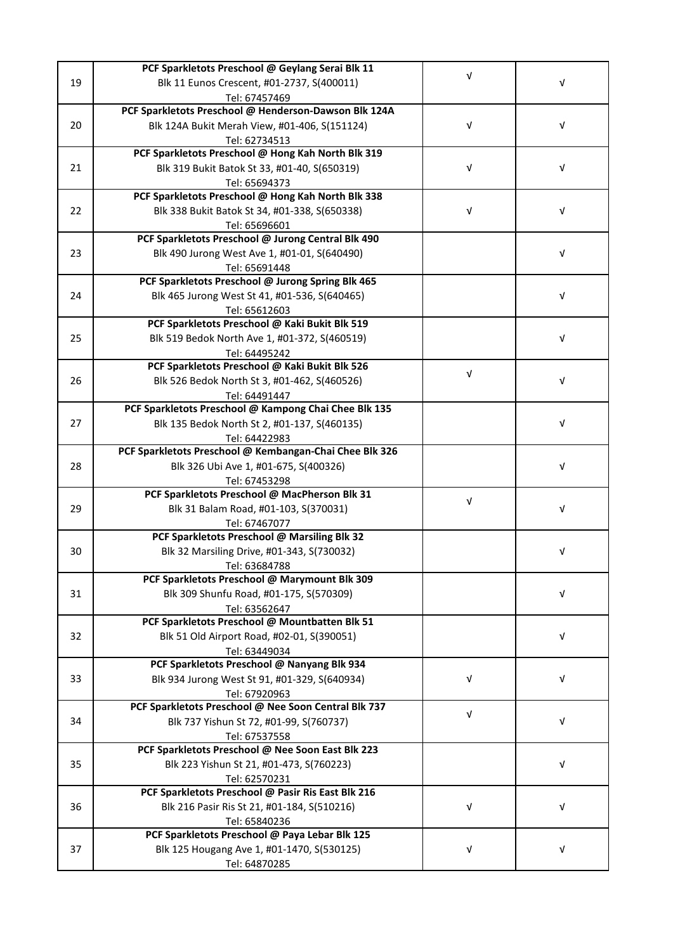|    | PCF Sparkletots Preschool @ Geylang Serai Blk 11                | V          |                           |
|----|-----------------------------------------------------------------|------------|---------------------------|
| 19 | Blk 11 Eunos Crescent, #01-2737, S(400011)                      |            | V                         |
|    | Tel: 67457469                                                   |            |                           |
|    | PCF Sparkletots Preschool @ Henderson-Dawson Blk 124A           |            |                           |
| 20 | Blk 124A Bukit Merah View, #01-406, S(151124)                   | V          | $\sqrt{ }$                |
|    | Tel: 62734513                                                   |            |                           |
|    | PCF Sparkletots Preschool @ Hong Kah North Blk 319              |            |                           |
| 21 | Blk 319 Bukit Batok St 33, #01-40, S(650319)                    | $\sqrt{ }$ | $\sqrt{ }$                |
|    | Tel: 65694373                                                   |            |                           |
|    | PCF Sparkletots Preschool @ Hong Kah North Blk 338              |            |                           |
| 22 | Blk 338 Bukit Batok St 34, #01-338, S(650338)                   | V          | V                         |
|    | Tel: 65696601                                                   |            |                           |
|    | PCF Sparkletots Preschool @ Jurong Central Blk 490              |            |                           |
| 23 | Blk 490 Jurong West Ave 1, #01-01, S(640490)                    |            | V                         |
|    | Tel: 65691448                                                   |            |                           |
|    | PCF Sparkletots Preschool @ Jurong Spring Blk 465               |            |                           |
| 24 | Blk 465 Jurong West St 41, #01-536, S(640465)                   |            | $\sqrt{ }$                |
|    |                                                                 |            |                           |
|    | Tel: 65612603<br>PCF Sparkletots Preschool @ Kaki Bukit Blk 519 |            |                           |
|    |                                                                 |            |                           |
| 25 | Blk 519 Bedok North Ave 1, #01-372, S(460519)                   |            | $\sqrt{ }$                |
|    | Tel: 64495242                                                   |            |                           |
|    | PCF Sparkletots Preschool @ Kaki Bukit Blk 526                  | $\sqrt{ }$ |                           |
| 26 | Blk 526 Bedok North St 3, #01-462, S(460526)                    |            | V                         |
|    | Tel: 64491447                                                   |            |                           |
|    | PCF Sparkletots Preschool @ Kampong Chai Chee Blk 135           |            |                           |
| 27 | Blk 135 Bedok North St 2, #01-137, S(460135)                    |            | $\sqrt{ }$                |
|    | Tel: 64422983                                                   |            |                           |
|    | PCF Sparkletots Preschool @ Kembangan-Chai Chee Blk 326         |            |                           |
| 28 | Blk 326 Ubi Ave 1, #01-675, S(400326)                           |            | $\sqrt{ }$                |
|    | Tel: 67453298                                                   |            |                           |
|    | PCF Sparkletots Preschool @ MacPherson Blk 31                   | $\sqrt{ }$ |                           |
| 29 | Blk 31 Balam Road, #01-103, S(370031)                           |            | V                         |
|    | Tel: 67467077                                                   |            |                           |
|    | PCF Sparkletots Preschool @ Marsiling Blk 32                    |            |                           |
| 30 | Blk 32 Marsiling Drive, #01-343, S(730032)                      |            | V                         |
|    | Tel: 63684788                                                   |            |                           |
|    | PCF Sparkletots Preschool @ Marymount Blk 309                   |            |                           |
| 31 | Blk 309 Shunfu Road, #01-175, S(570309)                         |            | V                         |
|    | Tel: 63562647                                                   |            |                           |
|    | PCF Sparkletots Preschool @ Mountbatten Blk 51                  |            |                           |
| 32 | Blk 51 Old Airport Road, #02-01, S(390051)                      |            | $\sqrt{ }$                |
|    | Tel: 63449034                                                   |            |                           |
|    | PCF Sparkletots Preschool @ Nanyang Blk 934                     |            |                           |
| 33 | Blk 934 Jurong West St 91, #01-329, S(640934)                   | V          | V                         |
|    | Tel: 67920963                                                   |            |                           |
|    | PCF Sparkletots Preschool @ Nee Soon Central Blk 737            |            |                           |
| 34 | Blk 737 Yishun St 72, #01-99, S(760737)                         | $\sqrt{ }$ | $\sqrt{ }$                |
|    | Tel: 67537558                                                   |            |                           |
|    | PCF Sparkletots Preschool @ Nee Soon East Blk 223               |            |                           |
| 35 | Blk 223 Yishun St 21, #01-473, S(760223)                        |            | $\ensuremath{\mathsf{V}}$ |
|    | Tel: 62570231                                                   |            |                           |
|    | PCF Sparkletots Preschool @ Pasir Ris East Blk 216              |            |                           |
| 36 | Blk 216 Pasir Ris St 21, #01-184, S(510216)                     | $\sqrt{ }$ | V                         |
|    | Tel: 65840236                                                   |            |                           |
| 37 | PCF Sparkletots Preschool @ Paya Lebar Blk 125                  |            |                           |
|    | Blk 125 Hougang Ave 1, #01-1470, S(530125)                      | V          | $\sqrt{ }$                |
|    | Tel: 64870285                                                   |            |                           |
|    |                                                                 |            |                           |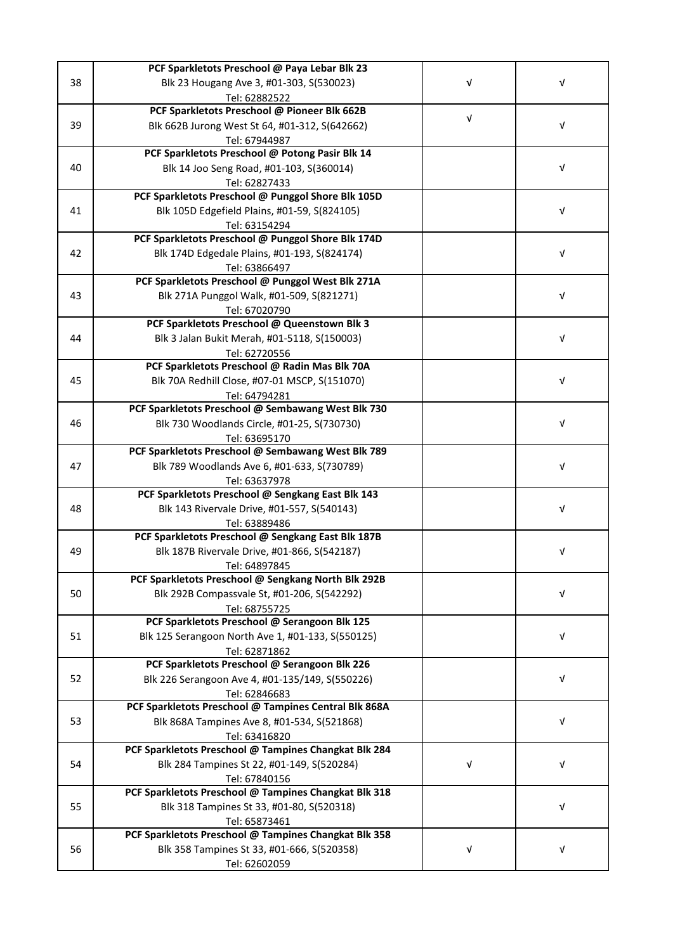|    | PCF Sparkletots Preschool @ Paya Lebar Blk 23                  |            |            |
|----|----------------------------------------------------------------|------------|------------|
| 38 | Blk 23 Hougang Ave 3, #01-303, S(530023)                       | V          | V          |
|    | Tel: 62882522                                                  |            |            |
|    | PCF Sparkletots Preschool @ Pioneer Blk 662B                   |            |            |
| 39 | Blk 662B Jurong West St 64, #01-312, S(642662)                 | $\sqrt{ }$ | $\sqrt{ }$ |
|    | Tel: 67944987                                                  |            |            |
|    | PCF Sparkletots Preschool @ Potong Pasir Blk 14                |            |            |
| 40 | Blk 14 Joo Seng Road, #01-103, S(360014)                       |            | V          |
|    | Tel: 62827433                                                  |            |            |
|    | PCF Sparkletots Preschool @ Punggol Shore Blk 105D             |            |            |
| 41 | Blk 105D Edgefield Plains, #01-59, S(824105)                   |            | V          |
|    | Tel: 63154294                                                  |            |            |
|    | PCF Sparkletots Preschool @ Punggol Shore Blk 174D             |            |            |
| 42 | Blk 174D Edgedale Plains, #01-193, S(824174)                   |            | $\sqrt{ }$ |
|    | Tel: 63866497                                                  |            |            |
|    | PCF Sparkletots Preschool @ Punggol West Blk 271A              |            |            |
| 43 | Blk 271A Punggol Walk, #01-509, S(821271)                      |            | V          |
|    | Tel: 67020790                                                  |            |            |
|    | PCF Sparkletots Preschool @ Queenstown Blk 3                   |            |            |
| 44 | Blk 3 Jalan Bukit Merah, #01-5118, S(150003)                   |            | $\sqrt{ }$ |
|    |                                                                |            |            |
|    | Tel: 62720556<br>PCF Sparkletots Preschool @ Radin Mas Blk 70A |            |            |
| 45 | Blk 70A Redhill Close, #07-01 MSCP, S(151070)                  |            | $\sqrt{ }$ |
|    |                                                                |            |            |
|    | Tel: 64794281                                                  |            |            |
|    | PCF Sparkletots Preschool @ Sembawang West Blk 730             |            |            |
| 46 | Blk 730 Woodlands Circle, #01-25, S(730730)                    |            | $\sqrt{ }$ |
|    | Tel: 63695170                                                  |            |            |
|    | PCF Sparkletots Preschool @ Sembawang West Blk 789             |            |            |
| 47 | Blk 789 Woodlands Ave 6, #01-633, S(730789)                    |            | $\sqrt{ }$ |
|    | Tel: 63637978                                                  |            |            |
|    | PCF Sparkletots Preschool @ Sengkang East Blk 143              |            |            |
| 48 | Blk 143 Rivervale Drive, #01-557, S(540143)                    |            | V          |
|    | Tel: 63889486                                                  |            |            |
|    | PCF Sparkletots Preschool @ Sengkang East Blk 187B             |            |            |
| 49 | Blk 187B Rivervale Drive, #01-866, S(542187)                   |            | V          |
|    | Tel: 64897845                                                  |            |            |
|    | PCF Sparkletots Preschool @ Sengkang North Blk 292B            |            |            |
| 50 | Blk 292B Compassvale St, #01-206, S(542292)                    |            | V          |
|    | Tel: 68755725                                                  |            |            |
|    | PCF Sparkletots Preschool @ Serangoon Blk 125                  |            |            |
| 51 | Blk 125 Serangoon North Ave 1, #01-133, S(550125)              |            | $\sqrt{ }$ |
|    | Tel: 62871862                                                  |            |            |
|    | PCF Sparkletots Preschool @ Serangoon Blk 226                  |            |            |
| 52 | Blk 226 Serangoon Ave 4, #01-135/149, S(550226)                |            | $\sqrt{ }$ |
|    | Tel: 62846683                                                  |            |            |
|    | PCF Sparkletots Preschool @ Tampines Central Blk 868A          |            |            |
| 53 | Blk 868A Tampines Ave 8, #01-534, S(521868)                    |            | $\sqrt{ }$ |
|    | Tel: 63416820                                                  |            |            |
|    | PCF Sparkletots Preschool @ Tampines Changkat Blk 284          |            |            |
| 54 | Blk 284 Tampines St 22, #01-149, S(520284)                     | V          | $\sqrt{ }$ |
|    | Tel: 67840156                                                  |            |            |
| 55 | PCF Sparkletots Preschool @ Tampines Changkat Blk 318          |            |            |
|    | Blk 318 Tampines St 33, #01-80, S(520318)                      |            | $\sqrt{ }$ |
|    | Tel: 65873461                                                  |            |            |
| 56 | PCF Sparkletots Preschool @ Tampines Changkat Blk 358          |            |            |
|    | Blk 358 Tampines St 33, #01-666, S(520358)                     | V          | $\sqrt{ }$ |
|    | Tel: 62602059                                                  |            |            |